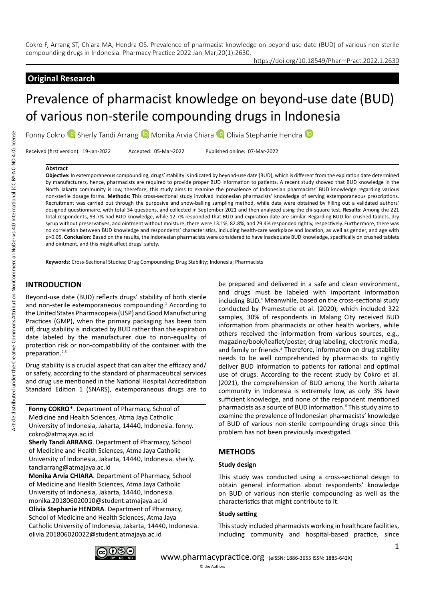Cokro F, Arrang ST, Chiara MA, Hendra OS. Prevalence of pharmacist knowledge on beyond-use date (BUD) of various non-sterile compounding drugs in Indonesia. Pharmacy Practice 2022 Jan-Mar;20(1):2630.

https://doi.org/10.18549/PharmPract.2022.1.2630

# **Original Research**

# Prevalence of pharmacist knowledge on beyond-use date (BUD) of various non-sterile compounding drugs in Indonesia

FonnyCokro <sup>(D</sup>, Sherly Tandi Arrang <sup>(D</sup>, Monika Arvia Chiara <sup>(D</sup>, Olivia Stephanie Hendra <sup>(D</sup>

Received (first version): 19-Jan-2022 Accepted: 05-Mar-2022 Published online: 07-Mar-2022

#### **Abstract**

**Objective:** In extemporaneous compounding, drugs' stability is indicated by beyond-use date (BUD), which is different from the expiration date determined by manufacturers, hence, pharmacists are required to provide proper BUD information to patients. A recent study showed that BUD knowledge in the North Jakarta community is low, therefore, this study aims to examine the prevalence of Indonesian pharmacists' BUD knowledge regarding various non-sterile dosage forms. Methods: This cross-sectional study involved Indonesian pharmacists' knowledge of serving extemporaneous prescriptions. Recruitment was carried out through the purposive and snow-balling sampling method, while data were obtained by filling out a validated authors' designed questionnaire, with total 34 questions, and collected in September 2021 and then analyzed using the chi-square test. **Results:** Among the 221 total respondents, 93.7% had BUD knowledge, while 12.7% responded that BUD and expiration date are similar. Regarding BUD for crushed tablets, dry syrup without preservatives, and ointment without moisture, there were 13.1%, 82.8%, and 29.4% responded rightly, respectively. Furthermore, there was no correlation between BUD knowledge and respondents' characteristics, including health-care workplace and location, as well as gender, and age with p>0.05. **Conclusion:** Based on the results, the Indonesian pharmacists were considered to have inadequate BUD knowledge, specifically on crushed tablets and ointment, and this might affect drugs' safety.

**Keywords:** Cross-Sectional Studies; Drug Compounding; Drug Stability; Indonesia; Pharmacists

# **INTRODUCTION**

Beyond-use date (BUD) reflects drugs' stability of both sterile and non-sterile extemporaneous compounding.<sup>1</sup> According to the United States Pharmacopeia (USP) and Good Manufacturing Practices (GMP), when the primary packaging has been torn off, drug stability is indicated by BUD rather than the expiration date labeled by the manufacturer due to non-equality of protection risk or non-compatibility of the container with the preparation.<sup>2,3</sup>

Drug stability is a crucial aspect that can alter the efficacy and/ or safety, according to the standard of pharmaceutical services and drug use mentioned in the National Hospital Accreditation Standard Edition 1 (SNARS), extemporaneous drugs are to

**Fonny COKRO**\*. Department of Pharmacy, School of Medicine and Health Sciences, Atma Jaya Catholic University of Indonesia, Jakarta, 14440, Indonesia. fonny. cokro@atmajaya.ac.id

**Sherly Tandi ARRANG**. Department of Pharmacy, School of Medicine and Health Sciences, Atma Jaya Catholic University of Indonesia, Jakarta, 14440, Indonesia. sherly. tandiarrang@atmajaya.ac.id

**Monika Arvia CHIARA**. Department of Pharmacy, School of Medicine and Health Sciences, Atma Jaya Catholic University of Indonesia, Jakarta, 14440, Indonesia. monika.201806020010@student.atmajaya.ac.id **Olivia Stephanie HENDRA**. Department of Pharmacy, School of Medicine and Health Sciences, Atma Jaya Catholic University of Indonesia, Jakarta, 14440, Indonesia. olivia.201806020022@student.atmajaya.ac.id

be prepared and delivered in a safe and clean environment, and drugs must be labeled with important information including BUD.<sup>4</sup> Meanwhile, based on the cross-sectional study conducted by Pramestutie et al. (2020), which included 322 samples, 30% of respondents in Malang City received BUD information from pharmacists or other health workers, while others received the information from various sources, e.g., magazine/book/leaflet/poster, drug labeling, electronic media, and family or friends.<sup>5</sup> Therefore, information on drug stability needs to be well comprehended by pharmacists to rightly deliver BUD information to patients for rational and optimal use of drugs. According to the recent study by Cokro et al. (2021), the comprehension of BUD among the North Jakarta community in Indonesia is extremely low, as only 3% have sufficient knowledge, and none of the respondent mentioned pharmacists as a source of BUD information.<sup>6</sup> This study aims to examine the prevalence of Indonesian pharmacists' knowledge of BUD of various non-sterile compounding drugs since this problem has not been previously investigated.

## **METHODS**

#### **Study design**

This study was conducted using a cross-sectional design to obtain general information about respondents' knowledge on BUD of various non-sterile compounding as well as the characteristics that might contribute to it.

#### **Study setting**

This study included pharmacists working in healthcare facilities, including community and hospital-based practice, since

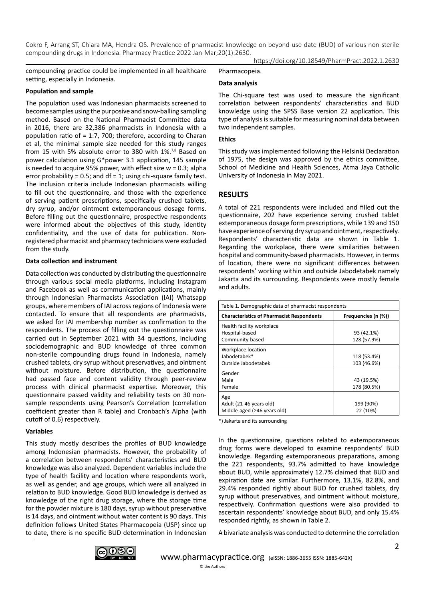Cokro F, Arrang ST, Chiara MA, Hendra OS. Prevalence of pharmacist knowledge on beyond-use date (BUD) of various non-sterile compounding drugs in Indonesia. Pharmacy Practice 2022 Jan-Mar;20(1):2630. https://doi.org/10.18549/PharmPract.2022.1.2630

compounding practice could be implemented in all healthcare setting, especially in Indonesia.

#### **Population and sample**

The population used was Indonesian pharmacists screened to become samples using the purposive and snow-balling sampling method. Based on the National Pharmacist Committee data in 2016, there are 32,386 pharmacists in Indonesia with a population ratio of = 1:7, 700; therefore, according to Charan et al, the minimal sample size needed for this study ranges from 15 with 5% absolute error to 380 with 1%.<sup>7,8</sup> Based on power calculation using G\*power 3.1 application, 145 sample is needed to acquire 95% power, with effect size w = 0.3; alpha error probability = 0.5; and  $df = 1$ ; using chi-square family test. The inclusion criteria include Indonesian pharmacists willing to fill out the questionnaire, and those with the experience of serving patient prescriptions, specifically crushed tablets, dry syrup, and/or ointment extemporaneous dosage forms. Before filling out the questionnaire, prospective respondents were informed about the objectives of this study, identity confidentiality, and the use of data for publication. Nonregistered pharmacist and pharmacy technicians were excluded from the study.

#### **Data collection and instrument**

Data collection was conducted by distributing the questionnaire through various social media platforms, including Instagram and Facebook as well as communication applications, mainly through Indonesian Pharmacists Association (IAI) Whatsapp groups, where members of IAI across regions of Indonesia were contacted. To ensure that all respondents are pharmacists, we asked for IAI membership number as confirmation to the respondents. The process of filling out the questionnaire was carried out in September 2021 with 34 questions, including sociodemographic and BUD knowledge of three common non-sterile compounding drugs found in Indonesia, namely crushed tablets, dry syrup without preservatives, and ointment without moisture. Before distribution, the questionnaire had passed face and content validity through peer-review process with clinical pharmacist expertise. Moreover, this questionnaire passed validity and reliability tests on 30 nonsample respondents using Pearson's Correlation (correlation coefficient greater than R table**)** and Cronbach's Alpha (with cutoff of 0.6) respectively.

## **Variables**

This study mostly describes the profiles of BUD knowledge among Indonesian pharmacists. However, the probability of a correlation between respondents' characteristics and BUD knowledge was also analyzed. Dependent variables include the type of health facility and location where respondents work, as well as gender, and age groups, which were all analyzed in relation to BUD knowledge. Good BUD knowledge is derived as knowledge of the right drug storage, where the storage time for the powder mixture is 180 days, syrup without preservative is 14 days, and ointment without water content is 90 days. This definition follows United States Pharmacopeia (USP) since up to date, there is no specific BUD determination in Indonesian Pharmacopeia.

## **Data analysis**

The Chi-square test was used to measure the significant correlation between respondents' characteristics and BUD knowledge using the SPSS Base version 22 application. This type of analysis is suitable for measuring nominal data between two independent samples.

#### **Ethics**

This study was implemented following the Helsinki Declaration of 1975, the design was approved by the ethics committee, School of Medicine and Health Sciences, Atma Jaya Catholic University of Indonesia in May 2021.

## **RESULTS**

A total of 221 respondents were included and filled out the questionnaire, 202 have experience serving crushed tablet extemporaneous dosage form prescriptions, while 139 and 150 have experience of serving dry syrup and ointment, respectively. Respondents' characteristic data are shown in Table 1. Regarding the workplace, there were similarities between hospital and community-based pharmacists. However, in terms of location, there were no significant differences between respondents' working within and outside Jabodetabek namely Jakarta and its surrounding. Respondents were mostly female and adults.

| Table 1. Demographic data of pharmacist respondents                  |                            |  |  |  |
|----------------------------------------------------------------------|----------------------------|--|--|--|
| <b>Characteristics of Pharmacist Respondents</b>                     | Frequencies (n (%))        |  |  |  |
| Health facility workplace<br>Hospital-based<br>Community-based       | 93 (42.1%)<br>128 (57.9%)  |  |  |  |
| Workplace location<br>Jabodetabek*<br>Outside Jabodetabek            | 118 (53.4%)<br>103 (46.6%) |  |  |  |
| Gender<br>Male<br>Female                                             | 43 (19.5%)<br>178 (80.5%)  |  |  |  |
| Age<br>Adult (21-46 years old)<br>Middle-aged ( $\geq$ 46 years old) | 199 (90%)<br>22 (10%)      |  |  |  |

\*) Jakarta and its surrounding

In the questionnaire, questions related to extemporaneous drug forms were developed to examine respondents' BUD knowledge. Regarding extemporaneous preparations, among the 221 respondents, 93.7% admitted to have knowledge about BUD, while approximately 12.7% claimed that BUD and expiration date are similar. Furthermore, 13.1%, 82.8%, and 29.4% responded rightly about BUD for crushed tablets, dry syrup without preservatives, and ointment without moisture, respectively. Confirmation questions were also provided to ascertain respondents' knowledge about BUD, and only 15.4% responded rightly, as shown in Table 2.

A bivariate analysis was conducted to determine the correlation

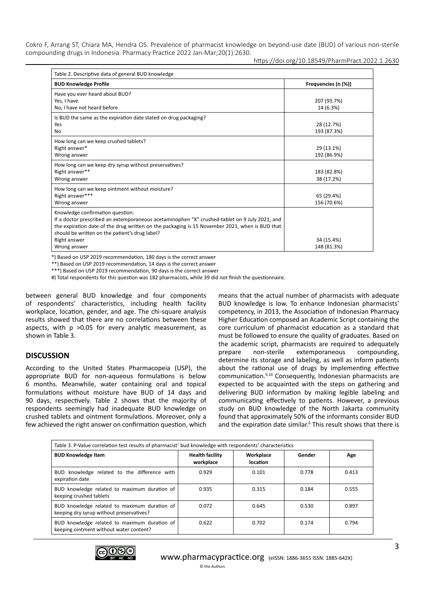Cokro F, Arrang ST, Chiara MA, Hendra OS. Prevalence of pharmacist knowledge on beyond-use date (BUD) of various non-sterile compounding drugs in Indonesia. Pharmacy Practice 2022 Jan-Mar;20(1):2630.

https://doi.org/10.18549/PharmPract.2022.1.2630

| Table 2. Descriptive data of general BUD knowledge                                                                                                                                                                                                                                                                    |                           |  |  |  |
|-----------------------------------------------------------------------------------------------------------------------------------------------------------------------------------------------------------------------------------------------------------------------------------------------------------------------|---------------------------|--|--|--|
| <b>BUD Knowledge Profile</b>                                                                                                                                                                                                                                                                                          | Frequencies (n (%))       |  |  |  |
| Have you ever heard about BUD?<br>Yes, I have<br>No, I have not heard before                                                                                                                                                                                                                                          | 207 (93.7%)<br>14 (6.3%)  |  |  |  |
| Is BUD the same as the expiration date stated on drug packaging?<br>Yes<br>No                                                                                                                                                                                                                                         | 28 (12.7%)<br>193 (87.3%) |  |  |  |
| How long can we keep crushed tablets?<br>Right answer*<br>Wrong answer                                                                                                                                                                                                                                                | 29 (13.1%)<br>192 (86.9%) |  |  |  |
| How long can we keep dry syrup without preservatives?<br>Right answer**<br>Wrong answer                                                                                                                                                                                                                               | 183 (82.8%)<br>38 (17.2%) |  |  |  |
| How long can we keep ointment without moisture?<br>Right answer***<br>Wrong answer                                                                                                                                                                                                                                    | 65 (29.4%)<br>156 (70.6%) |  |  |  |
| Knowledge confirmation question:<br>If a doctor prescribed an extemporaneous acetaminophen "X" crushed-tablet on 9 July 2021, and<br>the expiration date of the drug written on the packaging is 15 November 2021, when is BUD that<br>should be written on the patient's drug label?<br>Right answer<br>Wrong answer | 34 (15.4%)<br>148 (81.3%) |  |  |  |

\*) Based on USP 2019 recommendation, 180 days is the correct answer

\*\*) Based on USP 2019 recommendation, 14 days is the correct answer

\*\*\*) Based on USP 2019 recommendation, 90 days is the correct answer

#) Total respondents for this question was 182 pharmacists, while 39 did not finish the questionnaire.

between general BUD knowledge and four components of respondents' characteristics, including health facility workplace, location, gender, and age. The chi-square analysis results showed that there are no correlations between these aspects, with p >0.05 for every analytic measurement, as shown in Table 3.

## **DISCUSSION**

According to the United States Pharmacopeia (USP), the appropriate BUD for non-aqueous formulations is below 6 months. Meanwhile, water containing oral and topical formulations without moisture have BUD of 14 days and 90 days, respectively. Table 2 shows that the majority of respondents seemingly had inadequate BUD knowledge on crushed tablets and ointment formulations. Moreover, only a few achieved the right answer on confirmation question, which

means that the actual number of pharmacists with adequate BUD knowledge is low. To enhance Indonesian pharmacists' competency, in 2013, the Association of Indonesian Pharmacy Higher Education composed an Academic Script containing the core curriculum of pharmacist education as a standard that must be followed to ensure the quality of graduates. Based on the academic script, pharmacists are required to adequately prepare non-sterile extemporaneous compounding, determine its storage and labeling, as well as inform patients about the rational use of drugs by implementing effective communication.9,10 Consequently, Indonesian pharmacists are expected to be acquainted with the steps on gathering and delivering BUD information by making legible labeling and communicating effectively to patients. However, a previous study on BUD knowledge of the North Jakarta community found that approximately 50% of the informants consider BUD and the expiration date similar.<sup>6</sup> This result shows that there is

| Table 3. P-Value correlation test results of pharmacist' bud knowledge with respondents' characteristics |                                     |                       |        |       |  |
|----------------------------------------------------------------------------------------------------------|-------------------------------------|-----------------------|--------|-------|--|
| <b>BUD Knowledge Item</b>                                                                                | <b>Health facility</b><br>workplace | Workplace<br>location | Gender | Age   |  |
| BUD knowledge related to the difference with<br>expiration date                                          | 0.929                               | 0.101                 | 0.778  | 0.413 |  |
| BUD knowledge related to maximum duration of<br>keeping crushed tablets                                  | 0.935                               | 0.315                 | 0.184  | 0.555 |  |
| BUD knowledge related to maximum duration of<br>keeping dry syrup without preservatives?                 | 0.072                               | 0.645                 | 0.530  | 0.897 |  |
| BUD knowledge related to maximum duration of<br>keeping ointment without water content?                  | 0.622                               | 0.702                 | 0.174  | 0.794 |  |

© the Authors